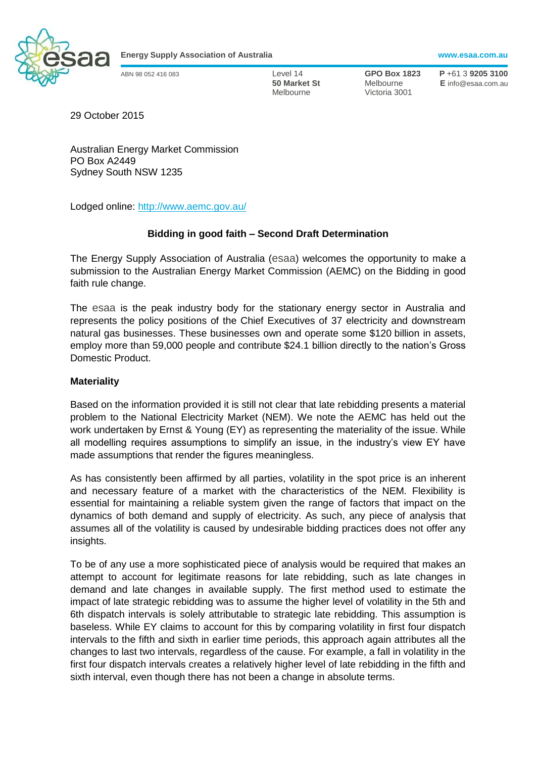

**Energy Supply Association of Australia www.esaa.com.au**

Melbourne Victoria 3001

ABN 98 052 416 083 Level 14 **GPO Box 1823 P** +61 3 **9205 3100 50 Market St** Melbourne **E** info@esaa.com.au

29 October 2015

Australian Energy Market Commission PO Box A2449 Sydney South NSW 1235

Lodged online: <http://www.aemc.gov.au/>

## **Bidding in good faith – Second Draft Determination**

The Energy Supply Association of Australia (esaa) welcomes the opportunity to make a submission to the Australian Energy Market Commission (AEMC) on the Bidding in good faith rule change.

The esaa is the peak industry body for the stationary energy sector in Australia and represents the policy positions of the Chief Executives of 37 electricity and downstream natural gas businesses. These businesses own and operate some \$120 billion in assets, employ more than 59,000 people and contribute \$24.1 billion directly to the nation's Gross Domestic Product.

## **Materiality**

Based on the information provided it is still not clear that late rebidding presents a material problem to the National Electricity Market (NEM). We note the AEMC has held out the work undertaken by Ernst & Young (EY) as representing the materiality of the issue. While all modelling requires assumptions to simplify an issue, in the industry's view EY have made assumptions that render the figures meaningless.

As has consistently been affirmed by all parties, volatility in the spot price is an inherent and necessary feature of a market with the characteristics of the NEM. Flexibility is essential for maintaining a reliable system given the range of factors that impact on the dynamics of both demand and supply of electricity. As such, any piece of analysis that assumes all of the volatility is caused by undesirable bidding practices does not offer any insights.

To be of any use a more sophisticated piece of analysis would be required that makes an attempt to account for legitimate reasons for late rebidding, such as late changes in demand and late changes in available supply. The first method used to estimate the impact of late strategic rebidding was to assume the higher level of volatility in the 5th and 6th dispatch intervals is solely attributable to strategic late rebidding. This assumption is baseless. While EY claims to account for this by comparing volatility in first four dispatch intervals to the fifth and sixth in earlier time periods, this approach again attributes all the changes to last two intervals, regardless of the cause. For example, a fall in volatility in the first four dispatch intervals creates a relatively higher level of late rebidding in the fifth and sixth interval, even though there has not been a change in absolute terms.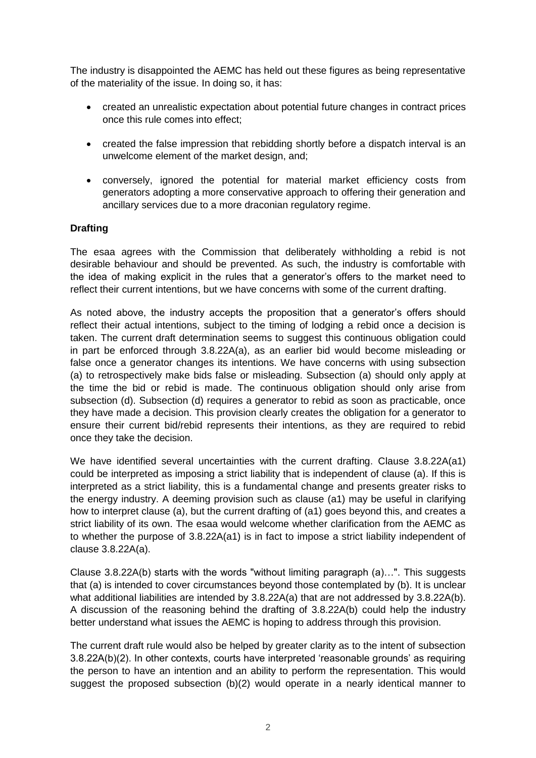The industry is disappointed the AEMC has held out these figures as being representative of the materiality of the issue. In doing so, it has:

- created an unrealistic expectation about potential future changes in contract prices once this rule comes into effect;
- created the false impression that rebidding shortly before a dispatch interval is an unwelcome element of the market design, and;
- conversely, ignored the potential for material market efficiency costs from generators adopting a more conservative approach to offering their generation and ancillary services due to a more draconian regulatory regime.

## **Drafting**

The esaa agrees with the Commission that deliberately withholding a rebid is not desirable behaviour and should be prevented. As such, the industry is comfortable with the idea of making explicit in the rules that a generator's offers to the market need to reflect their current intentions, but we have concerns with some of the current drafting.

As noted above, the industry accepts the proposition that a generator's offers should reflect their actual intentions, subject to the timing of lodging a rebid once a decision is taken. The current draft determination seems to suggest this continuous obligation could in part be enforced through 3.8.22A(a), as an earlier bid would become misleading or false once a generator changes its intentions. We have concerns with using subsection (a) to retrospectively make bids false or misleading. Subsection (a) should only apply at the time the bid or rebid is made. The continuous obligation should only arise from subsection (d). Subsection (d) requires a generator to rebid as soon as practicable, once they have made a decision. This provision clearly creates the obligation for a generator to ensure their current bid/rebid represents their intentions, as they are required to rebid once they take the decision.

We have identified several uncertainties with the current drafting. Clause 3.8.22A(a1) could be interpreted as imposing a strict liability that is independent of clause (a). If this is interpreted as a strict liability, this is a fundamental change and presents greater risks to the energy industry. A deeming provision such as clause (a1) may be useful in clarifying how to interpret clause (a), but the current drafting of (a1) goes beyond this, and creates a strict liability of its own. The esaa would welcome whether clarification from the AEMC as to whether the purpose of 3.8.22A(a1) is in fact to impose a strict liability independent of clause 3.8.22A(a).

Clause 3.8.22A(b) starts with the words "without limiting paragraph (a)…". This suggests that (a) is intended to cover circumstances beyond those contemplated by (b). It is unclear what additional liabilities are intended by 3.8.22A(a) that are not addressed by 3.8.22A(b). A discussion of the reasoning behind the drafting of 3.8.22A(b) could help the industry better understand what issues the AEMC is hoping to address through this provision.

The current draft rule would also be helped by greater clarity as to the intent of subsection 3.8.22A(b)(2). In other contexts, courts have interpreted 'reasonable grounds' as requiring the person to have an intention and an ability to perform the representation. This would suggest the proposed subsection (b)(2) would operate in a nearly identical manner to